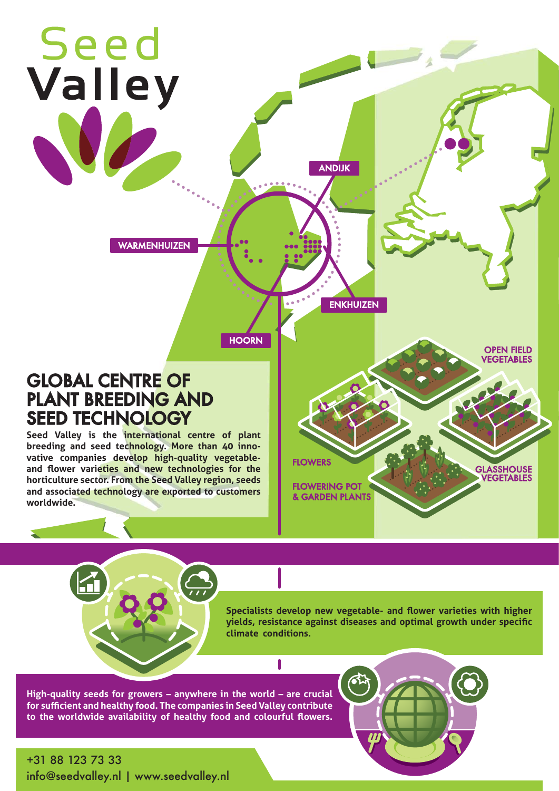

**High-quality seeds for growers – anywhere in the world – are crucial for sufficient and healthy food. The companies in Seed Valley contribute to the worldwide availability of healthy food and colourful flowers.**

+31 88 123 73 33 info@seedvalley.nl | www.seedvalley.nl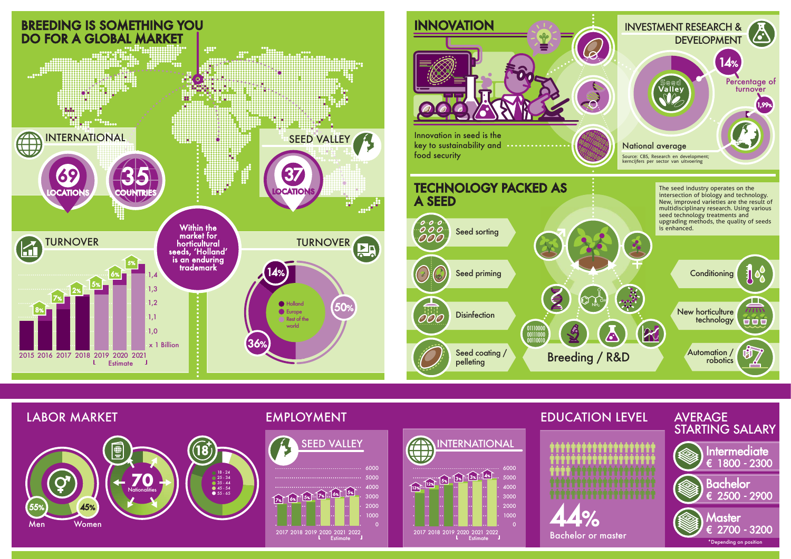

#### $\frac{13}{13}\sqrt{12\%}\left[\frac{5}{13}\right] \cdot \frac{13}{13}\cdot \frac{13}{13}\cdot \frac{14}{13}$ 2017 2018 2019 2020 2021 2022<br>**4** Estimate  $\overline{0}$ 1000 2000 3000 4000 5000 6000 SEED VALLEY **INTERNATIONAL**



01110000 00111000 00110010





# EDUCATION LEVEL AVERAGE

# STARTING SALARY



### EMPLOYMENT

## LABOR MARKET



Intermediate € 1800 - 2300